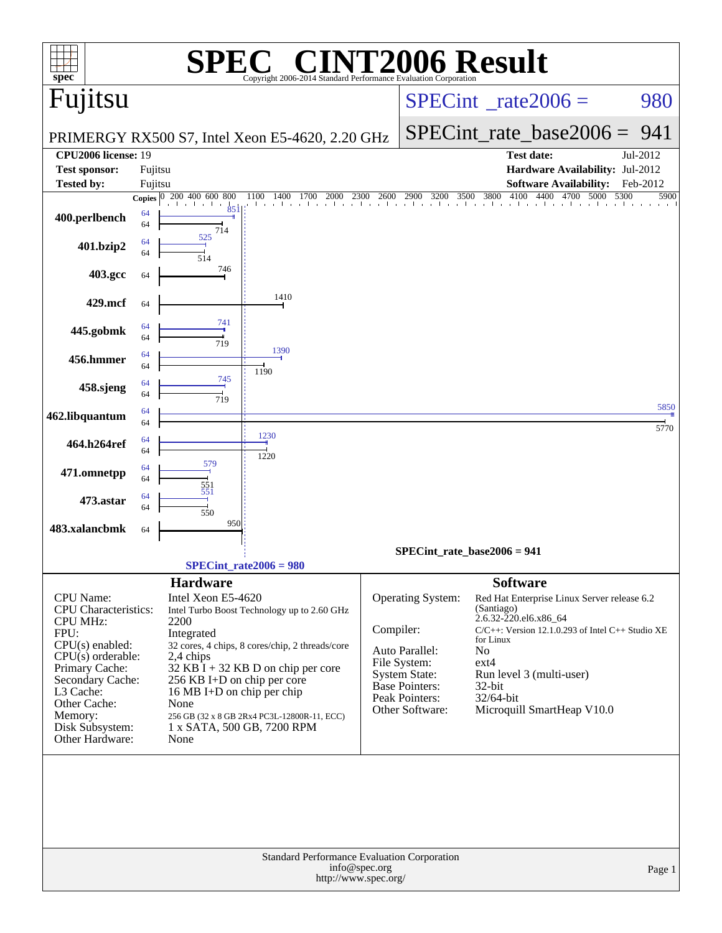| spec <sup>®</sup>                                                                                                                       |               | Copyright 2006-2014 Standard Performance Evaluation Corporation                                                                                                                                             |              |                                                                                                               | <b>CINT2006 Result</b>                                                                                                                                                      |              |
|-----------------------------------------------------------------------------------------------------------------------------------------|---------------|-------------------------------------------------------------------------------------------------------------------------------------------------------------------------------------------------------------|--------------|---------------------------------------------------------------------------------------------------------------|-----------------------------------------------------------------------------------------------------------------------------------------------------------------------------|--------------|
| Fujitsu                                                                                                                                 |               |                                                                                                                                                                                                             |              |                                                                                                               | $SPECint^{\circ}$ <sub>_rate2006</sub> =                                                                                                                                    | 980          |
|                                                                                                                                         |               | PRIMERGY RX500 S7, Intel Xeon E5-4620, 2.20 GHz                                                                                                                                                             |              |                                                                                                               | $SPECint_rate\_base2006 =$                                                                                                                                                  | 941          |
| <b>CPU2006 license: 19</b><br><b>Test sponsor:</b>                                                                                      | Fujitsu       |                                                                                                                                                                                                             |              |                                                                                                               | Test date:<br>Hardware Availability: Jul-2012                                                                                                                               | Jul-2012     |
| <b>Tested by:</b>                                                                                                                       | Fujitsu       |                                                                                                                                                                                                             |              |                                                                                                               | <b>Software Availability:</b>                                                                                                                                               | Feb-2012     |
|                                                                                                                                         | <b>Copies</b> | 200 400 600 800<br>1100<br>1400<br>1700<br>2000                                                                                                                                                             | 2600<br>2300 | 2900<br>3500<br>3200                                                                                          | 4100<br>4400<br>4700<br>5000<br>5300<br>3800                                                                                                                                | 5900         |
| 400.perlbench                                                                                                                           | 64<br>64      | 851<br>714                                                                                                                                                                                                  |              |                                                                                                               |                                                                                                                                                                             |              |
| 401.bzip2                                                                                                                               | 64<br>64      | 525<br>514                                                                                                                                                                                                  |              |                                                                                                               |                                                                                                                                                                             |              |
| 403.gcc                                                                                                                                 | 64            | 746                                                                                                                                                                                                         |              |                                                                                                               |                                                                                                                                                                             |              |
| 429.mcf                                                                                                                                 | 64            | 1410                                                                                                                                                                                                        |              |                                                                                                               |                                                                                                                                                                             |              |
| 445.gobmk                                                                                                                               | 64<br>64      | 741<br>719                                                                                                                                                                                                  |              |                                                                                                               |                                                                                                                                                                             |              |
| 456.hmmer                                                                                                                               | 64<br>64      | 1390<br>1190                                                                                                                                                                                                |              |                                                                                                               |                                                                                                                                                                             |              |
| 458.sjeng                                                                                                                               | 64<br>64      | 745<br>719                                                                                                                                                                                                  |              |                                                                                                               |                                                                                                                                                                             |              |
| 462.libquantum                                                                                                                          | 64<br>64      |                                                                                                                                                                                                             |              |                                                                                                               |                                                                                                                                                                             | 5850<br>5770 |
| 464.h264ref                                                                                                                             | 64<br>64      | 1230<br>1220                                                                                                                                                                                                |              |                                                                                                               |                                                                                                                                                                             |              |
| 471.omnetpp                                                                                                                             | 64<br>64      | 579<br>551                                                                                                                                                                                                  |              |                                                                                                               |                                                                                                                                                                             |              |
| 473.astar                                                                                                                               | 64<br>64      | 551<br>550                                                                                                                                                                                                  |              |                                                                                                               |                                                                                                                                                                             |              |
| 483.xalancbmk                                                                                                                           | 64            | 950                                                                                                                                                                                                         |              |                                                                                                               |                                                                                                                                                                             |              |
|                                                                                                                                         |               |                                                                                                                                                                                                             |              |                                                                                                               | $SPECint_rate_base2006 = 941$                                                                                                                                               |              |
|                                                                                                                                         |               | $SPECint_rate2006 = 980$                                                                                                                                                                                    |              |                                                                                                               |                                                                                                                                                                             |              |
| <b>CPU</b> Name:<br>CPU Characteristics:<br><b>CPU MHz:</b><br>FPU:<br>$CPU(s)$ enabled:                                                |               | <b>Hardware</b><br>Intel Xeon E5-4620<br>Intel Turbo Boost Technology up to 2.60 GHz<br>2200<br>Integrated<br>32 cores, 4 chips, 8 cores/chip, 2 threads/core                                               | Compiler:    | Operating System:                                                                                             | <b>Software</b><br>Red Hat Enterprise Linux Server release 6.2<br>(Santiago)<br>2.6.32-220.el6.x86_64<br>$C/C++$ : Version 12.1.0.293 of Intel $C++$ Studio XE<br>for Linux |              |
| $CPU(s)$ orderable:<br>Primary Cache:<br>Secondary Cache:<br>L3 Cache:<br>Other Cache:<br>Memory:<br>Disk Subsystem:<br>Other Hardware: |               | 2,4 chips<br>$32$ KB I + 32 KB D on chip per core<br>256 KB I+D on chip per core<br>16 MB I+D on chip per chip<br>None<br>256 GB (32 x 8 GB 2Rx4 PC3L-12800R-11, ECC)<br>1 x SATA, 500 GB, 7200 RPM<br>None |              | Auto Parallel:<br>File System:<br><b>System State:</b><br>Base Pointers:<br>Peak Pointers:<br>Other Software: | N <sub>o</sub><br>$ext{4}$<br>Run level 3 (multi-user)<br>32-bit<br>32/64-bit<br>Microquill SmartHeap V10.0                                                                 |              |
|                                                                                                                                         |               | <b>Standard Performance Evaluation Corporation</b>                                                                                                                                                          |              |                                                                                                               |                                                                                                                                                                             |              |
| info@spec.org<br>Page 1<br>http://www.spec.org/                                                                                         |               |                                                                                                                                                                                                             |              |                                                                                                               |                                                                                                                                                                             |              |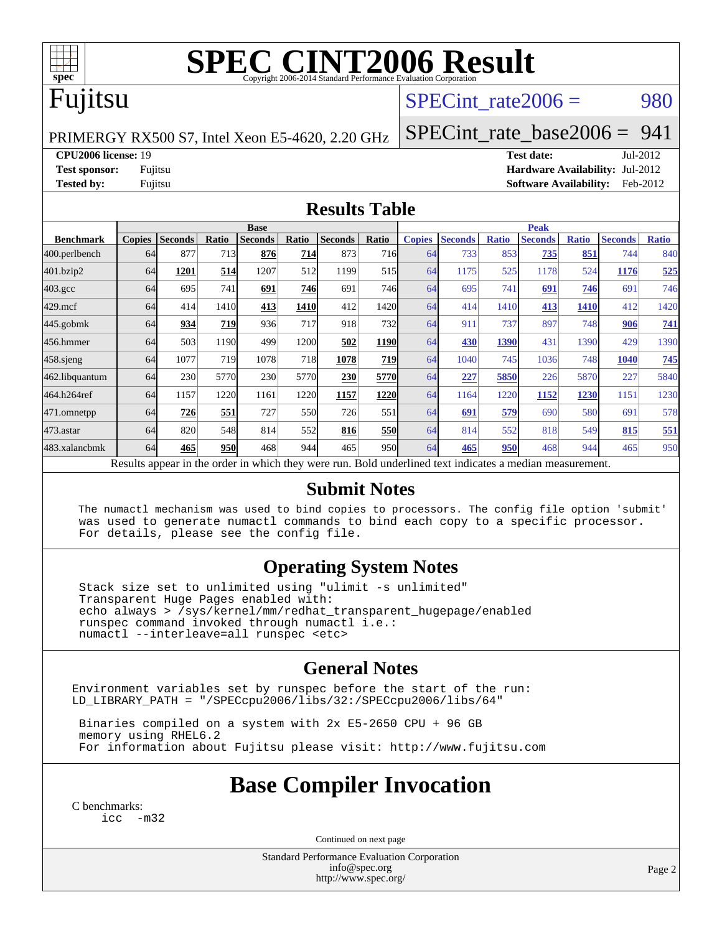

# **[SPEC CINT2006 Result](http://www.spec.org/auto/cpu2006/Docs/result-fields.html#SPECCINT2006Result)**

## Fujitsu

#### SPECint rate $2006 = 980$

PRIMERGY RX500 S7, Intel Xeon E5-4620, 2.20 GHz

[SPECint\\_rate\\_base2006 =](http://www.spec.org/auto/cpu2006/Docs/result-fields.html#SPECintratebase2006) 941

**[CPU2006 license:](http://www.spec.org/auto/cpu2006/Docs/result-fields.html#CPU2006license)** 19 **[Test date:](http://www.spec.org/auto/cpu2006/Docs/result-fields.html#Testdate)** Jul-2012

**[Test sponsor:](http://www.spec.org/auto/cpu2006/Docs/result-fields.html#Testsponsor)** Fujitsu **[Hardware Availability:](http://www.spec.org/auto/cpu2006/Docs/result-fields.html#HardwareAvailability)** Jul-2012 **[Tested by:](http://www.spec.org/auto/cpu2006/Docs/result-fields.html#Testedby)** Fujitsu **[Software Availability:](http://www.spec.org/auto/cpu2006/Docs/result-fields.html#SoftwareAvailability)** Feb-2012

#### **[Results Table](http://www.spec.org/auto/cpu2006/Docs/result-fields.html#ResultsTable)**

|                                                                                                          | <b>Base</b>   |                |              |                |            |                | <b>Peak</b>      |               |                |              |                |              |                |              |
|----------------------------------------------------------------------------------------------------------|---------------|----------------|--------------|----------------|------------|----------------|------------------|---------------|----------------|--------------|----------------|--------------|----------------|--------------|
| <b>Benchmark</b>                                                                                         | <b>Copies</b> | <b>Seconds</b> | <b>Ratio</b> | <b>Seconds</b> | Ratio      | <b>Seconds</b> | Ratio            | <b>Copies</b> | <b>Seconds</b> | <b>Ratio</b> | <b>Seconds</b> | <b>Ratio</b> | <b>Seconds</b> | <b>Ratio</b> |
| 400.perlbench                                                                                            | 64            | 877            | 713          | 876            | 714        | 873            | 716 <sup>I</sup> | 64            | 733            | 853          | 735            | 851          | 744            | 840          |
| 401.bzip2                                                                                                | 64            | 1201           | 514          | 1207           | 512        | 1199           | 515              | 64            | 1175           | 525          | 1178           | 524          | 1176           | 525          |
| $403.\mathrm{gcc}$                                                                                       | 64            | 695            | 741          | 691            | 746        | 691            | 746              | 64            | 695            | 741          | 691            | 746          | 691            | 746          |
| $429$ .mcf                                                                                               | 64            | 414            | 1410         | 413            | 1410       | 412            | 1420             | 64            | 414            | 1410         | 413            | 1410         | 412            | 1420         |
| $445$ .gobm $k$                                                                                          | 64            | 934            | 719          | 936            | 717        | 918            | <b>732</b>       | 64            | 911            | 737          | 897            | 748          | 906            | 741          |
| 456.hmmer                                                                                                | 64            | 503            | 1190         | 499            | 1200       | 502            | <b>1190</b>      | 64            | 430            | 1390         | 431            | 1390         | 429            | 1390         |
| 458 sjeng                                                                                                | 64            | 1077           | 719          | 1078           | 718        | 1078           | <b>719</b>       | 64            | 1040           | 745          | 1036           | 748          | 1040           | 745          |
| 462.libquantum                                                                                           | 64            | 230            | 5770         | 230            | 5770       | 230            | 5770             | 64            | 227            | 5850         | 226            | 5870         | 227            | 5840         |
| 464.h264ref                                                                                              | 64            | 1157           | 1220         | 1161           | 1220       | 1157           | 1220             | 64            | 1164           | 1220         | 1152           | 1230         | 1151           | 1230         |
| 471.omnetpp                                                                                              | 64            | 726            | 551          | 727            | <b>550</b> | 726            | 551              | 64            | 691            | 579          | 690            | 580          | 691            | 578          |
| $473.$ astar                                                                                             | 64            | 820            | 548          | 814            | 552        | 816            | <b>550</b>       | 64            | 814            | 552          | 818            | 549          | 815            | 551          |
| 483.xalancbmk                                                                                            | 64            | 465            | 950          | 468            | 944        | 465            | 950l             | 64            | 465            | 950          | 468            | 944          | 465            | 950          |
| Results appear in the order in which they were run. Bold underlined text indicates a median measurement. |               |                |              |                |            |                |                  |               |                |              |                |              |                |              |

#### **[Submit Notes](http://www.spec.org/auto/cpu2006/Docs/result-fields.html#SubmitNotes)**

 The numactl mechanism was used to bind copies to processors. The config file option 'submit' was used to generate numactl commands to bind each copy to a specific processor. For details, please see the config file.

#### **[Operating System Notes](http://www.spec.org/auto/cpu2006/Docs/result-fields.html#OperatingSystemNotes)**

 Stack size set to unlimited using "ulimit -s unlimited" Transparent Huge Pages enabled with: echo always > /sys/kernel/mm/redhat\_transparent\_hugepage/enabled runspec command invoked through numactl i.e.: numactl --interleave=all runspec <etc>

#### **[General Notes](http://www.spec.org/auto/cpu2006/Docs/result-fields.html#GeneralNotes)**

Environment variables set by runspec before the start of the run: LD\_LIBRARY\_PATH = "/SPECcpu2006/libs/32:/SPECcpu2006/libs/64"

 Binaries compiled on a system with 2x E5-2650 CPU + 96 GB memory using RHEL6.2 For information about Fujitsu please visit: <http://www.fujitsu.com>

#### **[Base Compiler Invocation](http://www.spec.org/auto/cpu2006/Docs/result-fields.html#BaseCompilerInvocation)**

[C benchmarks](http://www.spec.org/auto/cpu2006/Docs/result-fields.html#Cbenchmarks): [icc -m32](http://www.spec.org/cpu2006/results/res2012q3/cpu2006-20120730-23911.flags.html#user_CCbase_intel_icc_5ff4a39e364c98233615fdd38438c6f2)

Continued on next page

Standard Performance Evaluation Corporation [info@spec.org](mailto:info@spec.org) <http://www.spec.org/>

Page 2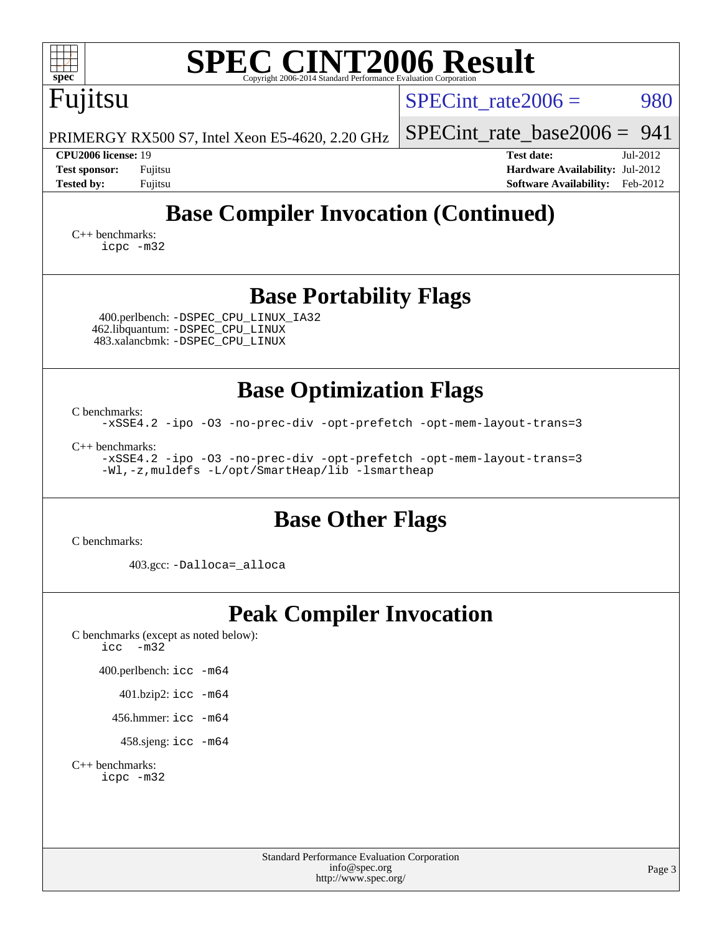| <b>SPEC CINT2006 Result</b><br>spec <sup>®</sup><br>Copyright 2006-2014 Standard Performance Evaluation Corporation                                                                                                                                                         |                                                                                                               |
|-----------------------------------------------------------------------------------------------------------------------------------------------------------------------------------------------------------------------------------------------------------------------------|---------------------------------------------------------------------------------------------------------------|
| Fujitsu                                                                                                                                                                                                                                                                     | SPECint rate $2006 =$<br>980                                                                                  |
| PRIMERGY RX500 S7, Intel Xeon E5-4620, 2.20 GHz                                                                                                                                                                                                                             | SPECint rate base $2006 = 941$                                                                                |
| CPU2006 license: 19<br><b>Test sponsor:</b><br>Fujitsu<br><b>Tested by:</b><br>Fujitsu                                                                                                                                                                                      | <b>Test date:</b><br>Jul-2012<br>Hardware Availability: Jul-2012<br><b>Software Availability:</b><br>Feb-2012 |
| <b>Base Compiler Invocation (Continued)</b><br>$C++$ benchmarks:<br>icpc -m32                                                                                                                                                                                               |                                                                                                               |
| <b>Base Portability Flags</b><br>400.perlbench: - DSPEC CPU LINUX IA32<br>462.libquantum: - DSPEC_CPU_LINUX<br>483.xalancbmk: -DSPEC_CPU_LINUX                                                                                                                              |                                                                                                               |
| <b>Base Optimization Flags</b><br>C benchmarks:<br>-xSSE4.2 -ipo -03 -no-prec-div -opt-prefetch -opt-mem-layout-trans=3<br>$C_{++}$ benchmarks:<br>-xSSE4.2 -ipo -03 -no-prec-div -opt-prefetch -opt-mem-layout-trans=3<br>-Wl,-z, muldefs -L/opt/SmartHeap/lib -lsmartheap |                                                                                                               |
| <b>Base Other Flags</b><br>C benchmarks:                                                                                                                                                                                                                                    |                                                                                                               |
| 403.gcc: -Dalloca=_alloca                                                                                                                                                                                                                                                   |                                                                                                               |
| <b>Peak Compiler Invocation</b><br>C benchmarks (except as noted below):<br>$-m32$<br>icc<br>400.perlbench: icc -m64<br>401.bzip2: icc -m64<br>456.hmmer: $\text{icc}$ -m64<br>458.sjeng: icc -m64<br>$C_{++}$ benchmarks:<br>icpc -m32                                     |                                                                                                               |
| <b>Standard Performance Evaluation Corporation</b><br>info@spec.org<br>http://www.spec.org/                                                                                                                                                                                 | Page 3                                                                                                        |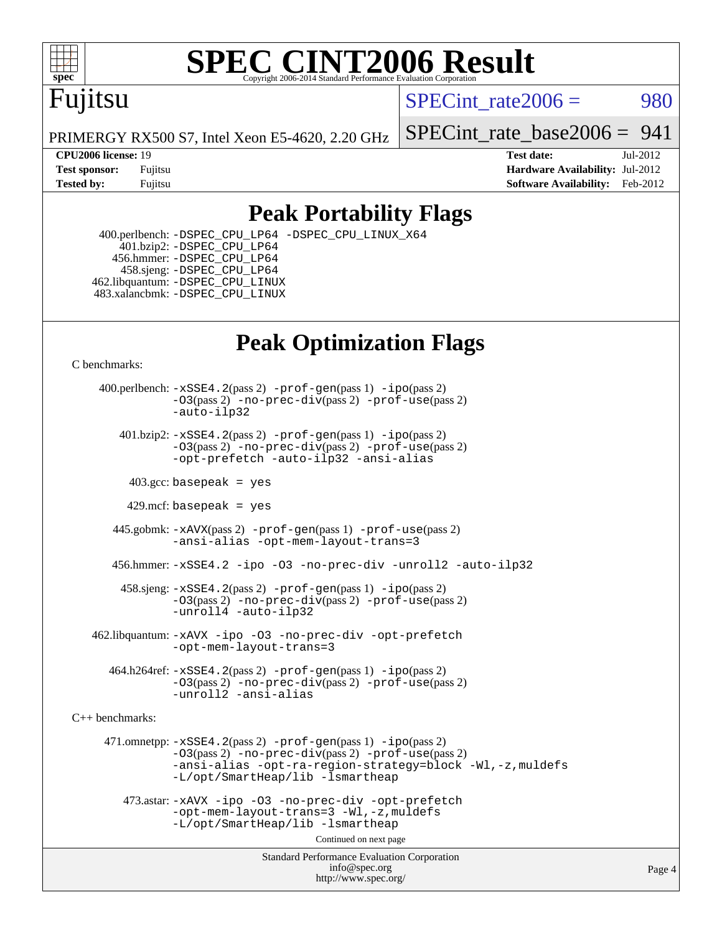

# **[SPEC CINT2006 Result](http://www.spec.org/auto/cpu2006/Docs/result-fields.html#SPECCINT2006Result)**

# Fujitsu

SPECint rate $2006 = 980$ 

PRIMERGY RX500 S7, Intel Xeon E5-4620, 2.20 GHz

**[Tested by:](http://www.spec.org/auto/cpu2006/Docs/result-fields.html#Testedby)** Fujitsu **Fugital Example 2012 [Software Availability:](http://www.spec.org/auto/cpu2006/Docs/result-fields.html#SoftwareAvailability)** Feb-2012

[SPECint\\_rate\\_base2006 =](http://www.spec.org/auto/cpu2006/Docs/result-fields.html#SPECintratebase2006)  $941$ 

**[CPU2006 license:](http://www.spec.org/auto/cpu2006/Docs/result-fields.html#CPU2006license)** 19 **[Test date:](http://www.spec.org/auto/cpu2006/Docs/result-fields.html#Testdate)** Jul-2012 **[Test sponsor:](http://www.spec.org/auto/cpu2006/Docs/result-fields.html#Testsponsor)** Fujitsu **[Hardware Availability:](http://www.spec.org/auto/cpu2006/Docs/result-fields.html#HardwareAvailability)** Jul-2012

#### **[Peak Portability Flags](http://www.spec.org/auto/cpu2006/Docs/result-fields.html#PeakPortabilityFlags)**

 400.perlbench: [-DSPEC\\_CPU\\_LP64](http://www.spec.org/cpu2006/results/res2012q3/cpu2006-20120730-23911.flags.html#b400.perlbench_peakCPORTABILITY_DSPEC_CPU_LP64) [-DSPEC\\_CPU\\_LINUX\\_X64](http://www.spec.org/cpu2006/results/res2012q3/cpu2006-20120730-23911.flags.html#b400.perlbench_peakCPORTABILITY_DSPEC_CPU_LINUX_X64)  $401.bzip2: -DSPEC_CPULP64$  456.hmmer: [-DSPEC\\_CPU\\_LP64](http://www.spec.org/cpu2006/results/res2012q3/cpu2006-20120730-23911.flags.html#suite_peakCPORTABILITY456_hmmer_DSPEC_CPU_LP64) 458.sjeng: [-DSPEC\\_CPU\\_LP64](http://www.spec.org/cpu2006/results/res2012q3/cpu2006-20120730-23911.flags.html#suite_peakCPORTABILITY458_sjeng_DSPEC_CPU_LP64) 462.libquantum: [-DSPEC\\_CPU\\_LINUX](http://www.spec.org/cpu2006/results/res2012q3/cpu2006-20120730-23911.flags.html#b462.libquantum_peakCPORTABILITY_DSPEC_CPU_LINUX) 483.xalancbmk: [-DSPEC\\_CPU\\_LINUX](http://www.spec.org/cpu2006/results/res2012q3/cpu2006-20120730-23911.flags.html#b483.xalancbmk_peakCXXPORTABILITY_DSPEC_CPU_LINUX)

## **[Peak Optimization Flags](http://www.spec.org/auto/cpu2006/Docs/result-fields.html#PeakOptimizationFlags)**

[C benchmarks](http://www.spec.org/auto/cpu2006/Docs/result-fields.html#Cbenchmarks):

 400.perlbench: [-xSSE4.2](http://www.spec.org/cpu2006/results/res2012q3/cpu2006-20120730-23911.flags.html#user_peakPASS2_CFLAGSPASS2_LDCFLAGS400_perlbench_f-xSSE42_f91528193cf0b216347adb8b939d4107)(pass 2) [-prof-gen](http://www.spec.org/cpu2006/results/res2012q3/cpu2006-20120730-23911.flags.html#user_peakPASS1_CFLAGSPASS1_LDCFLAGS400_perlbench_prof_gen_e43856698f6ca7b7e442dfd80e94a8fc)(pass 1) [-ipo](http://www.spec.org/cpu2006/results/res2012q3/cpu2006-20120730-23911.flags.html#user_peakPASS2_CFLAGSPASS2_LDCFLAGS400_perlbench_f-ipo)(pass 2) [-O3](http://www.spec.org/cpu2006/results/res2012q3/cpu2006-20120730-23911.flags.html#user_peakPASS2_CFLAGSPASS2_LDCFLAGS400_perlbench_f-O3)(pass 2) [-no-prec-div](http://www.spec.org/cpu2006/results/res2012q3/cpu2006-20120730-23911.flags.html#user_peakPASS2_CFLAGSPASS2_LDCFLAGS400_perlbench_f-no-prec-div)(pass 2) [-prof-use](http://www.spec.org/cpu2006/results/res2012q3/cpu2006-20120730-23911.flags.html#user_peakPASS2_CFLAGSPASS2_LDCFLAGS400_perlbench_prof_use_bccf7792157ff70d64e32fe3e1250b55)(pass 2) [-auto-ilp32](http://www.spec.org/cpu2006/results/res2012q3/cpu2006-20120730-23911.flags.html#user_peakCOPTIMIZE400_perlbench_f-auto-ilp32)  $401.bzip2: -xSSE4.2(pass 2) -prof-qen(pass 1) -ipo(pass 2)$  $401.bzip2: -xSSE4.2(pass 2) -prof-qen(pass 1) -ipo(pass 2)$  $401.bzip2: -xSSE4.2(pass 2) -prof-qen(pass 1) -ipo(pass 2)$  $401.bzip2: -xSSE4.2(pass 2) -prof-qen(pass 1) -ipo(pass 2)$  $401.bzip2: -xSSE4.2(pass 2) -prof-qen(pass 1) -ipo(pass 2)$ [-O3](http://www.spec.org/cpu2006/results/res2012q3/cpu2006-20120730-23911.flags.html#user_peakPASS2_CFLAGSPASS2_LDCFLAGS401_bzip2_f-O3)(pass 2) [-no-prec-div](http://www.spec.org/cpu2006/results/res2012q3/cpu2006-20120730-23911.flags.html#user_peakPASS2_CFLAGSPASS2_LDCFLAGS401_bzip2_f-no-prec-div)(pass 2) [-prof-use](http://www.spec.org/cpu2006/results/res2012q3/cpu2006-20120730-23911.flags.html#user_peakPASS2_CFLAGSPASS2_LDCFLAGS401_bzip2_prof_use_bccf7792157ff70d64e32fe3e1250b55)(pass 2) [-opt-prefetch](http://www.spec.org/cpu2006/results/res2012q3/cpu2006-20120730-23911.flags.html#user_peakCOPTIMIZE401_bzip2_f-opt-prefetch) [-auto-ilp32](http://www.spec.org/cpu2006/results/res2012q3/cpu2006-20120730-23911.flags.html#user_peakCOPTIMIZE401_bzip2_f-auto-ilp32) [-ansi-alias](http://www.spec.org/cpu2006/results/res2012q3/cpu2006-20120730-23911.flags.html#user_peakCOPTIMIZE401_bzip2_f-ansi-alias)  $403.\text{sec: basepeak}$  = yes 429.mcf: basepeak = yes 445.gobmk: [-xAVX](http://www.spec.org/cpu2006/results/res2012q3/cpu2006-20120730-23911.flags.html#user_peakPASS2_CFLAGSPASS2_LDCFLAGS445_gobmk_f-xAVX)(pass 2) [-prof-gen](http://www.spec.org/cpu2006/results/res2012q3/cpu2006-20120730-23911.flags.html#user_peakPASS1_CFLAGSPASS1_LDCFLAGS445_gobmk_prof_gen_e43856698f6ca7b7e442dfd80e94a8fc)(pass 1) [-prof-use](http://www.spec.org/cpu2006/results/res2012q3/cpu2006-20120730-23911.flags.html#user_peakPASS2_CFLAGSPASS2_LDCFLAGS445_gobmk_prof_use_bccf7792157ff70d64e32fe3e1250b55)(pass 2) [-ansi-alias](http://www.spec.org/cpu2006/results/res2012q3/cpu2006-20120730-23911.flags.html#user_peakCOPTIMIZE445_gobmk_f-ansi-alias) [-opt-mem-layout-trans=3](http://www.spec.org/cpu2006/results/res2012q3/cpu2006-20120730-23911.flags.html#user_peakCOPTIMIZE445_gobmk_f-opt-mem-layout-trans_a7b82ad4bd7abf52556d4961a2ae94d5) 456.hmmer: [-xSSE4.2](http://www.spec.org/cpu2006/results/res2012q3/cpu2006-20120730-23911.flags.html#user_peakCOPTIMIZE456_hmmer_f-xSSE42_f91528193cf0b216347adb8b939d4107) [-ipo](http://www.spec.org/cpu2006/results/res2012q3/cpu2006-20120730-23911.flags.html#user_peakCOPTIMIZE456_hmmer_f-ipo) [-O3](http://www.spec.org/cpu2006/results/res2012q3/cpu2006-20120730-23911.flags.html#user_peakCOPTIMIZE456_hmmer_f-O3) [-no-prec-div](http://www.spec.org/cpu2006/results/res2012q3/cpu2006-20120730-23911.flags.html#user_peakCOPTIMIZE456_hmmer_f-no-prec-div) [-unroll2](http://www.spec.org/cpu2006/results/res2012q3/cpu2006-20120730-23911.flags.html#user_peakCOPTIMIZE456_hmmer_f-unroll_784dae83bebfb236979b41d2422d7ec2) [-auto-ilp32](http://www.spec.org/cpu2006/results/res2012q3/cpu2006-20120730-23911.flags.html#user_peakCOPTIMIZE456_hmmer_f-auto-ilp32) 458.sjeng: [-xSSE4.2](http://www.spec.org/cpu2006/results/res2012q3/cpu2006-20120730-23911.flags.html#user_peakPASS2_CFLAGSPASS2_LDCFLAGS458_sjeng_f-xSSE42_f91528193cf0b216347adb8b939d4107)(pass 2) [-prof-gen](http://www.spec.org/cpu2006/results/res2012q3/cpu2006-20120730-23911.flags.html#user_peakPASS1_CFLAGSPASS1_LDCFLAGS458_sjeng_prof_gen_e43856698f6ca7b7e442dfd80e94a8fc)(pass 1) [-ipo](http://www.spec.org/cpu2006/results/res2012q3/cpu2006-20120730-23911.flags.html#user_peakPASS2_CFLAGSPASS2_LDCFLAGS458_sjeng_f-ipo)(pass 2) [-O3](http://www.spec.org/cpu2006/results/res2012q3/cpu2006-20120730-23911.flags.html#user_peakPASS2_CFLAGSPASS2_LDCFLAGS458_sjeng_f-O3)(pass 2) [-no-prec-div](http://www.spec.org/cpu2006/results/res2012q3/cpu2006-20120730-23911.flags.html#user_peakPASS2_CFLAGSPASS2_LDCFLAGS458_sjeng_f-no-prec-div)(pass 2) [-prof-use](http://www.spec.org/cpu2006/results/res2012q3/cpu2006-20120730-23911.flags.html#user_peakPASS2_CFLAGSPASS2_LDCFLAGS458_sjeng_prof_use_bccf7792157ff70d64e32fe3e1250b55)(pass 2) [-unroll4](http://www.spec.org/cpu2006/results/res2012q3/cpu2006-20120730-23911.flags.html#user_peakCOPTIMIZE458_sjeng_f-unroll_4e5e4ed65b7fd20bdcd365bec371b81f) [-auto-ilp32](http://www.spec.org/cpu2006/results/res2012q3/cpu2006-20120730-23911.flags.html#user_peakCOPTIMIZE458_sjeng_f-auto-ilp32) 462.libquantum: [-xAVX](http://www.spec.org/cpu2006/results/res2012q3/cpu2006-20120730-23911.flags.html#user_peakCOPTIMIZE462_libquantum_f-xAVX) [-ipo](http://www.spec.org/cpu2006/results/res2012q3/cpu2006-20120730-23911.flags.html#user_peakCOPTIMIZE462_libquantum_f-ipo) [-O3](http://www.spec.org/cpu2006/results/res2012q3/cpu2006-20120730-23911.flags.html#user_peakCOPTIMIZE462_libquantum_f-O3) [-no-prec-div](http://www.spec.org/cpu2006/results/res2012q3/cpu2006-20120730-23911.flags.html#user_peakCOPTIMIZE462_libquantum_f-no-prec-div) [-opt-prefetch](http://www.spec.org/cpu2006/results/res2012q3/cpu2006-20120730-23911.flags.html#user_peakCOPTIMIZE462_libquantum_f-opt-prefetch) [-opt-mem-layout-trans=3](http://www.spec.org/cpu2006/results/res2012q3/cpu2006-20120730-23911.flags.html#user_peakCOPTIMIZE462_libquantum_f-opt-mem-layout-trans_a7b82ad4bd7abf52556d4961a2ae94d5)  $464.h264$ ref:  $-xSSE4$ .  $2(pass 2)$  [-prof-gen](http://www.spec.org/cpu2006/results/res2012q3/cpu2006-20120730-23911.flags.html#user_peakPASS1_CFLAGSPASS1_LDCFLAGS464_h264ref_prof_gen_e43856698f6ca7b7e442dfd80e94a8fc) $(pass 1)$  [-ipo](http://www.spec.org/cpu2006/results/res2012q3/cpu2006-20120730-23911.flags.html#user_peakPASS2_CFLAGSPASS2_LDCFLAGS464_h264ref_f-ipo) $(pass 2)$ [-O3](http://www.spec.org/cpu2006/results/res2012q3/cpu2006-20120730-23911.flags.html#user_peakPASS2_CFLAGSPASS2_LDCFLAGS464_h264ref_f-O3)(pass 2) [-no-prec-div](http://www.spec.org/cpu2006/results/res2012q3/cpu2006-20120730-23911.flags.html#user_peakPASS2_CFLAGSPASS2_LDCFLAGS464_h264ref_f-no-prec-div)(pass 2) [-prof-use](http://www.spec.org/cpu2006/results/res2012q3/cpu2006-20120730-23911.flags.html#user_peakPASS2_CFLAGSPASS2_LDCFLAGS464_h264ref_prof_use_bccf7792157ff70d64e32fe3e1250b55)(pass 2) [-unroll2](http://www.spec.org/cpu2006/results/res2012q3/cpu2006-20120730-23911.flags.html#user_peakCOPTIMIZE464_h264ref_f-unroll_784dae83bebfb236979b41d2422d7ec2) [-ansi-alias](http://www.spec.org/cpu2006/results/res2012q3/cpu2006-20120730-23911.flags.html#user_peakCOPTIMIZE464_h264ref_f-ansi-alias) [C++ benchmarks:](http://www.spec.org/auto/cpu2006/Docs/result-fields.html#CXXbenchmarks) 471.omnetpp: [-xSSE4.2](http://www.spec.org/cpu2006/results/res2012q3/cpu2006-20120730-23911.flags.html#user_peakPASS2_CXXFLAGSPASS2_LDCXXFLAGS471_omnetpp_f-xSSE42_f91528193cf0b216347adb8b939d4107)(pass 2) [-prof-gen](http://www.spec.org/cpu2006/results/res2012q3/cpu2006-20120730-23911.flags.html#user_peakPASS1_CXXFLAGSPASS1_LDCXXFLAGS471_omnetpp_prof_gen_e43856698f6ca7b7e442dfd80e94a8fc)(pass 1) [-ipo](http://www.spec.org/cpu2006/results/res2012q3/cpu2006-20120730-23911.flags.html#user_peakPASS2_CXXFLAGSPASS2_LDCXXFLAGS471_omnetpp_f-ipo)(pass 2)

[-O3](http://www.spec.org/cpu2006/results/res2012q3/cpu2006-20120730-23911.flags.html#user_peakPASS2_CXXFLAGSPASS2_LDCXXFLAGS471_omnetpp_f-O3)(pass 2) [-no-prec-div](http://www.spec.org/cpu2006/results/res2012q3/cpu2006-20120730-23911.flags.html#user_peakPASS2_CXXFLAGSPASS2_LDCXXFLAGS471_omnetpp_f-no-prec-div)(pass 2) [-prof-use](http://www.spec.org/cpu2006/results/res2012q3/cpu2006-20120730-23911.flags.html#user_peakPASS2_CXXFLAGSPASS2_LDCXXFLAGS471_omnetpp_prof_use_bccf7792157ff70d64e32fe3e1250b55)(pass 2) [-ansi-alias](http://www.spec.org/cpu2006/results/res2012q3/cpu2006-20120730-23911.flags.html#user_peakCXXOPTIMIZE471_omnetpp_f-ansi-alias) [-opt-ra-region-strategy=block](http://www.spec.org/cpu2006/results/res2012q3/cpu2006-20120730-23911.flags.html#user_peakCXXOPTIMIZE471_omnetpp_f-opt-ra-region-strategy_a0a37c372d03933b2a18d4af463c1f69) [-Wl,-z,muldefs](http://www.spec.org/cpu2006/results/res2012q3/cpu2006-20120730-23911.flags.html#user_peakEXTRA_LDFLAGS471_omnetpp_link_force_multiple1_74079c344b956b9658436fd1b6dd3a8a) [-L/opt/SmartHeap/lib -lsmartheap](http://www.spec.org/cpu2006/results/res2012q3/cpu2006-20120730-23911.flags.html#user_peakEXTRA_LIBS471_omnetpp_SmartHeap_1046f488ce4b4d9d2689b01742ccb999)

 473.astar: [-xAVX](http://www.spec.org/cpu2006/results/res2012q3/cpu2006-20120730-23911.flags.html#user_peakCXXOPTIMIZE473_astar_f-xAVX) [-ipo](http://www.spec.org/cpu2006/results/res2012q3/cpu2006-20120730-23911.flags.html#user_peakCXXOPTIMIZE473_astar_f-ipo) [-O3](http://www.spec.org/cpu2006/results/res2012q3/cpu2006-20120730-23911.flags.html#user_peakCXXOPTIMIZE473_astar_f-O3) [-no-prec-div](http://www.spec.org/cpu2006/results/res2012q3/cpu2006-20120730-23911.flags.html#user_peakCXXOPTIMIZE473_astar_f-no-prec-div) [-opt-prefetch](http://www.spec.org/cpu2006/results/res2012q3/cpu2006-20120730-23911.flags.html#user_peakCXXOPTIMIZE473_astar_f-opt-prefetch) [-opt-mem-layout-trans=3](http://www.spec.org/cpu2006/results/res2012q3/cpu2006-20120730-23911.flags.html#user_peakCXXOPTIMIZE473_astar_f-opt-mem-layout-trans_a7b82ad4bd7abf52556d4961a2ae94d5) [-Wl,-z,muldefs](http://www.spec.org/cpu2006/results/res2012q3/cpu2006-20120730-23911.flags.html#user_peakEXTRA_LDFLAGS473_astar_link_force_multiple1_74079c344b956b9658436fd1b6dd3a8a) [-L/opt/SmartHeap/lib -lsmartheap](http://www.spec.org/cpu2006/results/res2012q3/cpu2006-20120730-23911.flags.html#user_peakEXTRA_LIBS473_astar_SmartHeap_1046f488ce4b4d9d2689b01742ccb999)

Continued on next page

Standard Performance Evaluation Corporation [info@spec.org](mailto:info@spec.org) <http://www.spec.org/>